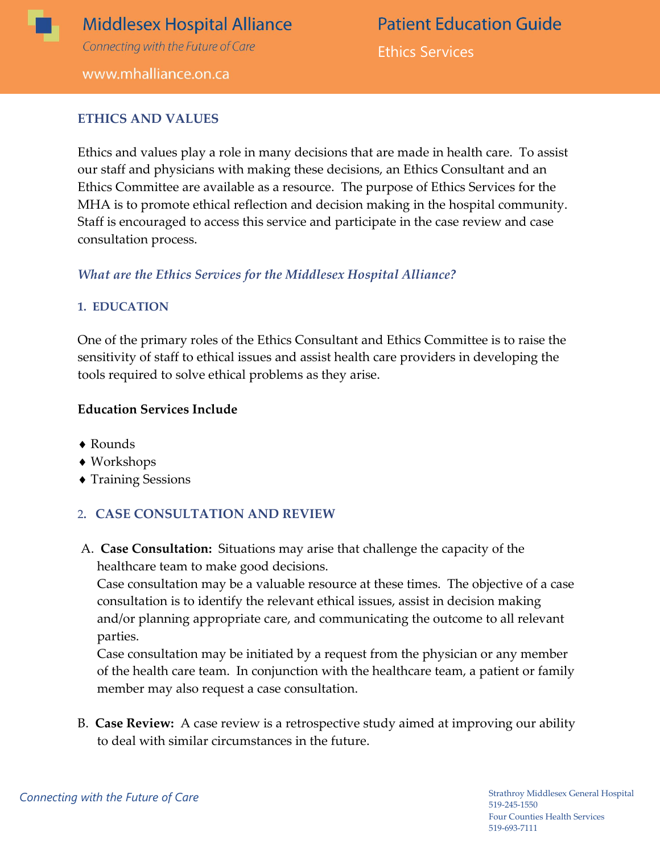

# **Middlesex Hospital Alliance** Connecting with the Future of Care

**Patient Education Guide** Ethics Services

#### www.mhalliance.on.ca

#### **ETHICS AND VALUES**

Ethics and values play a role in many decisions that are made in health care. To assist our staff and physicians with making these decisions, an Ethics Consultant and an Ethics Committee are available as a resource. The purpose of Ethics Services for the MHA is to promote ethical reflection and decision making in the hospital community. Staff is encouraged to access this service and participate in the case review and case consultation process.

#### *What are the Ethics Services for the Middlesex Hospital Alliance?*

#### **1. EDUCATION**

One of the primary roles of the Ethics Consultant and Ethics Committee is to raise the sensitivity of staff to ethical issues and assist health care providers in developing the tools required to solve ethical problems as they arise.

#### **Education Services Include**

- Rounds
- ◆ Workshops
- Training Sessions

#### 2**. CASE CONSULTATION AND REVIEW**

A. **Case Consultation:** Situations may arise that challenge the capacity of the healthcare team to make good decisions.

Case consultation may be a valuable resource at these times. The objective of a case consultation is to identify the relevant ethical issues, assist in decision making and/or planning appropriate care, and communicating the outcome to all relevant parties.

Case consultation may be initiated by a request from the physician or any member of the health care team. In conjunction with the healthcare team, a patient or family member may also request a case consultation.

B. **Case Review:** A case review is a retrospective study aimed at improving our ability to deal with similar circumstances in the future.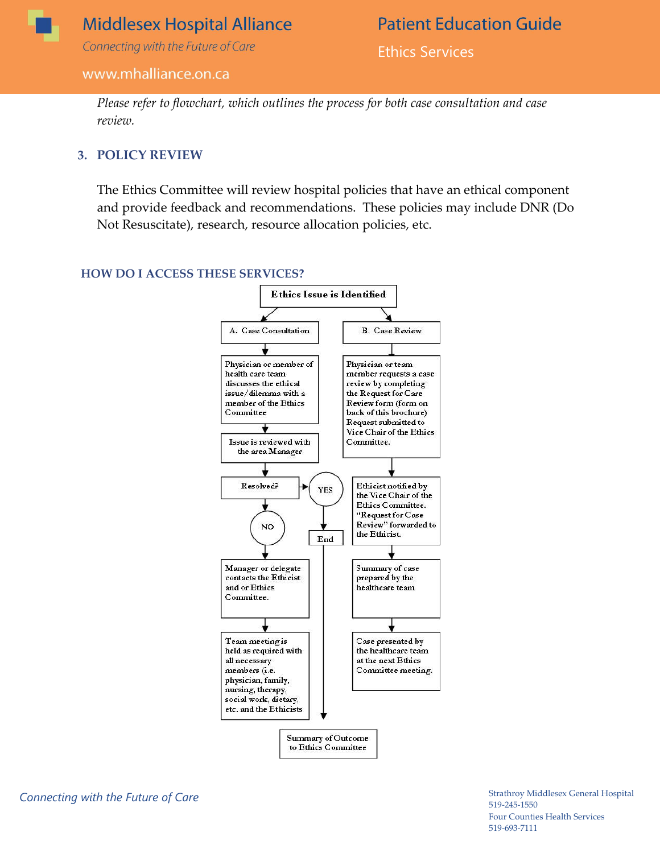

### **Middlesex Hospital Alliance**

Connecting with the Future of Care

#### www.mhalliance.on.ca

**Patient Education Guide** 

Ethics Services

*Please refer to flowchart, which outlines the process for both case consultation and case review.* 

#### **3. POLICY REVIEW**

The Ethics Committee will review hospital policies that have an ethical component and provide feedback and recommendations. These policies may include DNR (Do Not Resuscitate), research, resource allocation policies, etc.

#### **HOW DO I ACCESS THESE SERVICES?**

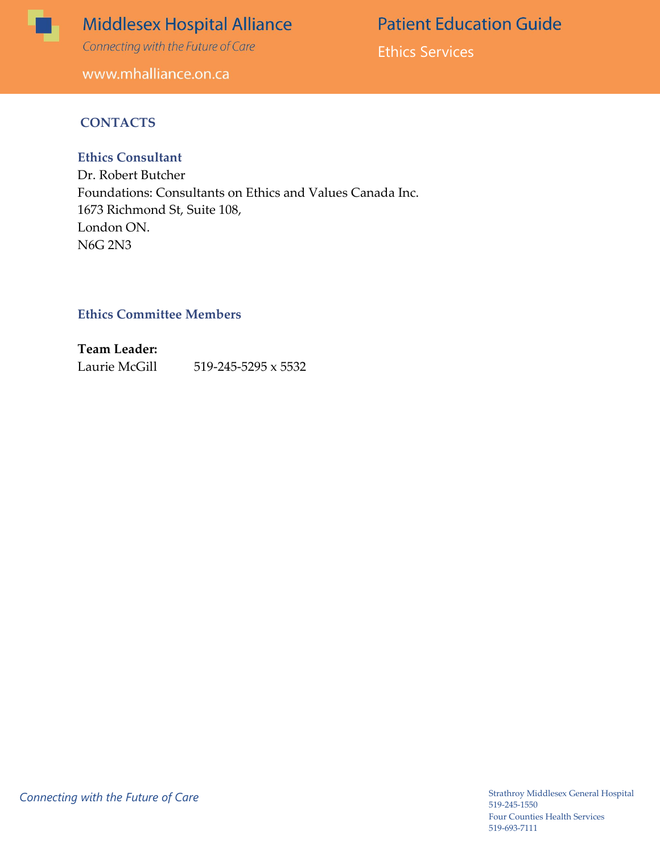

## **Middlesex Hospital Alliance**

Connecting with the Future of Care

www.mhalliance.on.ca

**Patient Education Guide** 

Ethics Services

#### **CONTACTS**

#### **Ethics Consultant**

Dr. Robert Butcher Foundations: Consultants on Ethics and Values Canada Inc. 1673 Richmond St, Suite 108, London ON. N6G 2N3

#### **Ethics Committee Members**

**Team Leader:** Laurie McGill 519-245-5295 x 5532